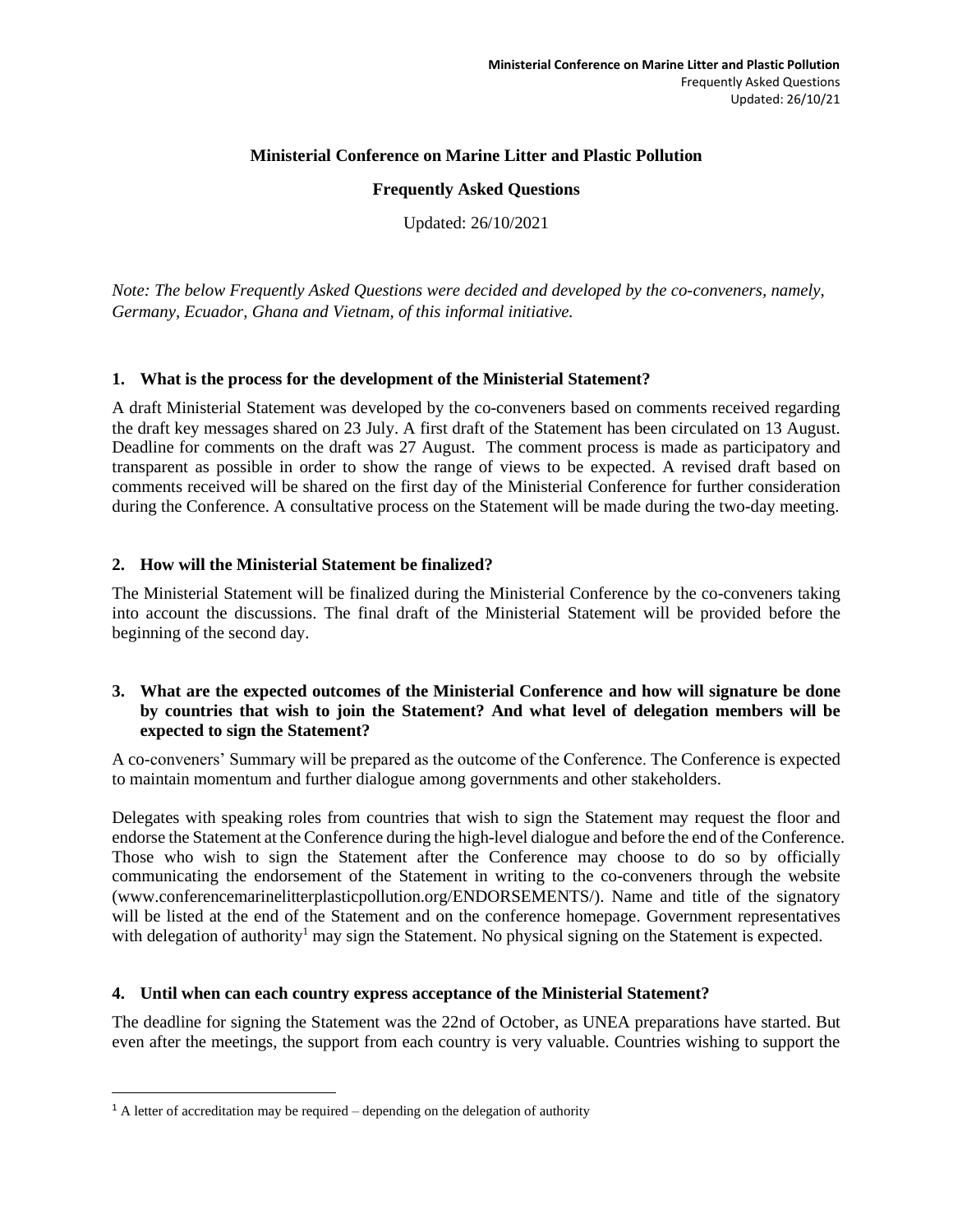### **Ministerial Conference on Marine Litter and Plastic Pollution**

### **Frequently Asked Questions**

Updated: 26/10/2021

*Note: The below Frequently Asked Questions were decided and developed by the co-conveners, namely, Germany, Ecuador, Ghana and Vietnam, of this informal initiative.*

### **1. What is the process for the development of the Ministerial Statement?**

A draft Ministerial Statement was developed by the co-conveners based on comments received regarding the draft key messages shared on 23 July. A first draft of the Statement has been circulated on 13 August. Deadline for comments on the draft was 27 August. The comment process is made as participatory and transparent as possible in order to show the range of views to be expected. A revised draft based on comments received will be shared on the first day of the Ministerial Conference for further consideration during the Conference. A consultative process on the Statement will be made during the two-day meeting.

# **2. How will the Ministerial Statement be finalized?**

The Ministerial Statement will be finalized during the Ministerial Conference by the co-conveners taking into account the discussions. The final draft of the Ministerial Statement will be provided before the beginning of the second day.

# **3. What are the expected outcomes of the Ministerial Conference and how will signature be done by countries that wish to join the Statement? And what level of delegation members will be expected to sign the Statement?**

A co-conveners' Summary will be prepared as the outcome of the Conference. The Conference is expected to maintain momentum and further dialogue among governments and other stakeholders.

Delegates with speaking roles from countries that wish to sign the Statement may request the floor and endorse the Statement at the Conference during the high-level dialogue and before the end of the Conference. Those who wish to sign the Statement after the Conference may choose to do so by officially communicating the endorsement of the Statement in writing to the co-conveners through the website (www.conferencemarinelitterplasticpollution.org/ENDORSEMENTS/). Name and title of the signatory will be listed at the end of the Statement and on the conference homepage. Government representatives with delegation of authority<sup>1</sup> may sign the Statement. No physical signing on the Statement is expected.

# **4. Until when can each country express acceptance of the Ministerial Statement?**

The deadline for signing the Statement was the 22nd of October, as UNEA preparations have started. But even after the meetings, the support from each country is very valuable. Countries wishing to support the

<sup>&</sup>lt;sup>1</sup> A letter of accreditation may be required – depending on the delegation of authority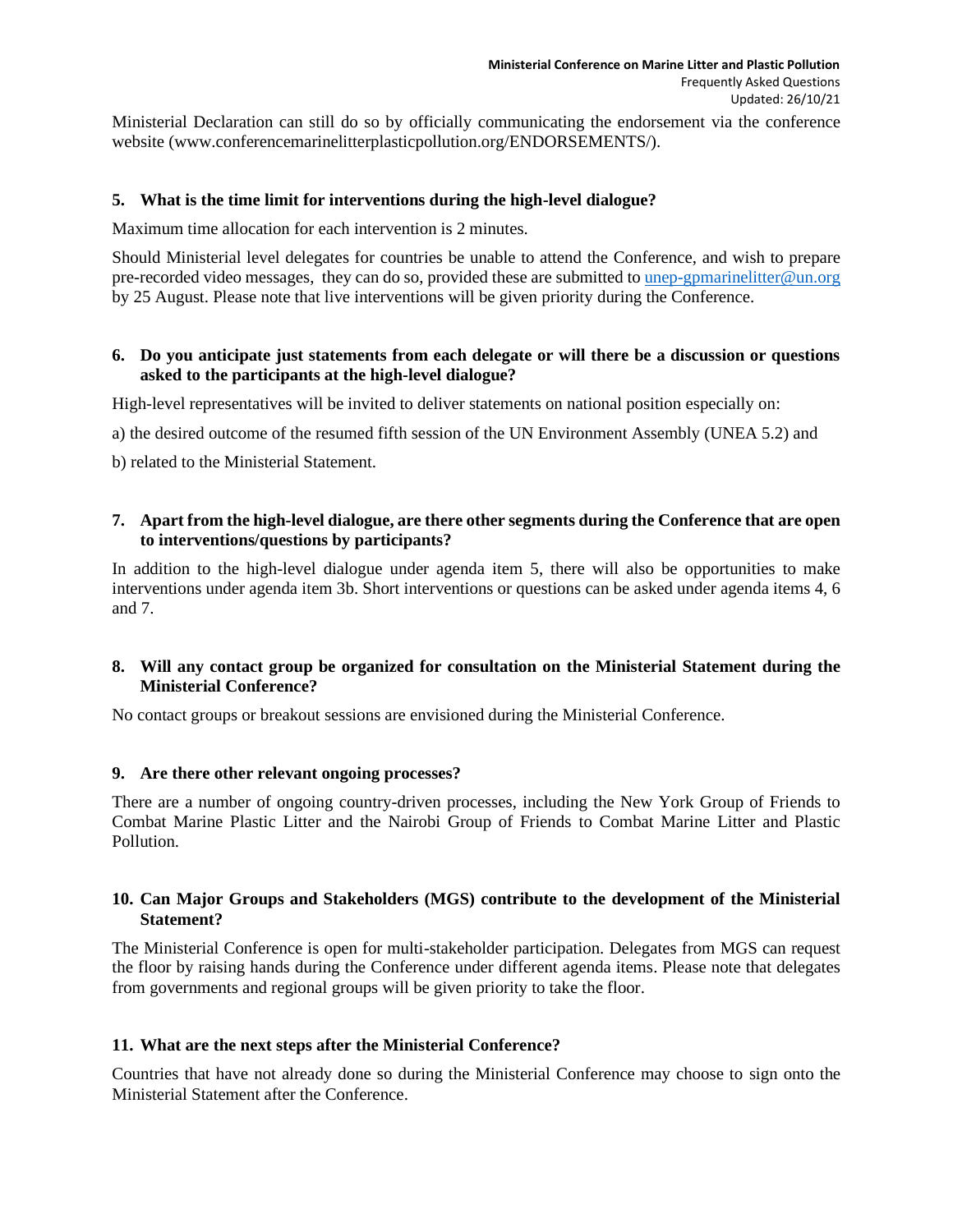Ministerial Declaration can still do so by officially communicating the endorsement via the conference website (www.conferencemarinelitterplasticpollution.org/ENDORSEMENTS/).

# **5. What is the time limit for interventions during the high-level dialogue?**

Maximum time allocation for each intervention is 2 minutes.

Should Ministerial level delegates for countries be unable to attend the Conference, and wish to prepare pre-recorded video messages, they can do so, provided these are submitted to [unep-gpmarinelitter@un.org](mailto:unep-gpmarinelitter@un.org) by 25 August. Please note that live interventions will be given priority during the Conference.

# **6. Do you anticipate just statements from each delegate or will there be a discussion or questions asked to the participants at the high-level dialogue?**

High-level representatives will be invited to deliver statements on national position especially on:

a) the desired outcome of the resumed fifth session of the UN Environment Assembly (UNEA 5.2) and

b) related to the Ministerial Statement.

# **7. Apart from the high-level dialogue, are there other segments during the Conference that are open to interventions/questions by participants?**

In addition to the high-level dialogue under agenda item 5, there will also be opportunities to make interventions under agenda item 3b. Short interventions or questions can be asked under agenda items 4, 6 and 7.

# **8. Will any contact group be organized for consultation on the Ministerial Statement during the Ministerial Conference?**

No contact groups or breakout sessions are envisioned during the Ministerial Conference.

# **9. Are there other relevant ongoing processes?**

There are a number of ongoing country-driven processes, including the New York Group of Friends to Combat Marine Plastic Litter and the Nairobi Group of Friends to Combat Marine Litter and Plastic Pollution.

# **10. Can Major Groups and Stakeholders (MGS) contribute to the development of the Ministerial Statement?**

The Ministerial Conference is open for multi-stakeholder participation. Delegates from MGS can request the floor by raising hands during the Conference under different agenda items. Please note that delegates from governments and regional groups will be given priority to take the floor.

# **11. What are the next steps after the Ministerial Conference?**

Countries that have not already done so during the Ministerial Conference may choose to sign onto the Ministerial Statement after the Conference.